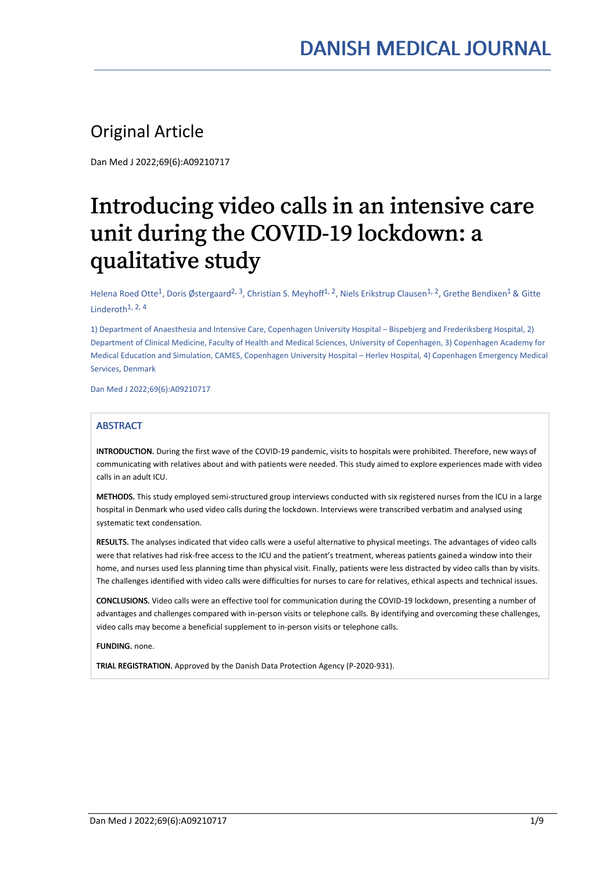## Original Article

Dan Med J 2022;69(6):A09210717

# Introducing video calls in an intensive care unit during the COVID-19 lockdown: a qualitative study

Helena Roed Otte<sup>1</sup>, Doris Østergaard<sup>2, 3</sup>, Christian S. Meyhoff<sup>1, 2</sup>, Niels Erikstrup Clausen<sup>1, 2</sup>, Grethe Bendixen<sup>1</sup> & Gitte Linderoth 1, 2, 4

1) Department of Anaesthesia and Intensive Care, Copenhagen University Hospital – Bispebjerg and Frederiksberg Hospital, 2) Department of Clinical Medicine, Faculty of Health and Medical Sciences, University of Copenhagen, 3) Copenhagen Academy for Medical Education and Simulation, CAMES, Copenhagen University Hospital – Herlev Hospital, 4) Copenhagen Emergency Medical Services, Denmark

Dan Med J 2022;69(6):A09210717

#### **ABSTRACT**

INTRODUCTION. During the first wave of the COVID-19 pandemic, visits to hospitals were prohibited. Therefore, new ways of communicating with relatives about and with patients were needed. This study aimed to explore experiences made with video calls in an adult ICU.

METHODS. This study employed semi-structured group interviews conducted with six registered nurses from the ICU in a large hospital in Denmark who used video calls during the lockdown. Interviews were transcribed verbatim and analysed using systematic text condensation.

RESULTS. The analyses indicated that video calls were a useful alternative to physical meetings. The advantages of video calls were that relatives had risk-free access to the ICU and the patient's treatment, whereas patients gained a window into their home, and nurses used less planning time than physical visit. Finally, patients were less distracted by video calls than by visits. The challenges identified with video calls were difficulties for nurses to care for relatives, ethical aspects and technical issues.

CONCLUSIONS. Video calls were an effective tool for communication during the COVID-19 lockdown, presenting a number of advantages and challenges compared with in-person visits or telephone calls. By identifying and overcoming these challenges, video calls may become a beneficial supplement to in-person visits or telephone calls.

FUNDING. none.

TRIAL REGISTRATION. Approved by the Danish Data Protection Agency (P-2020-931).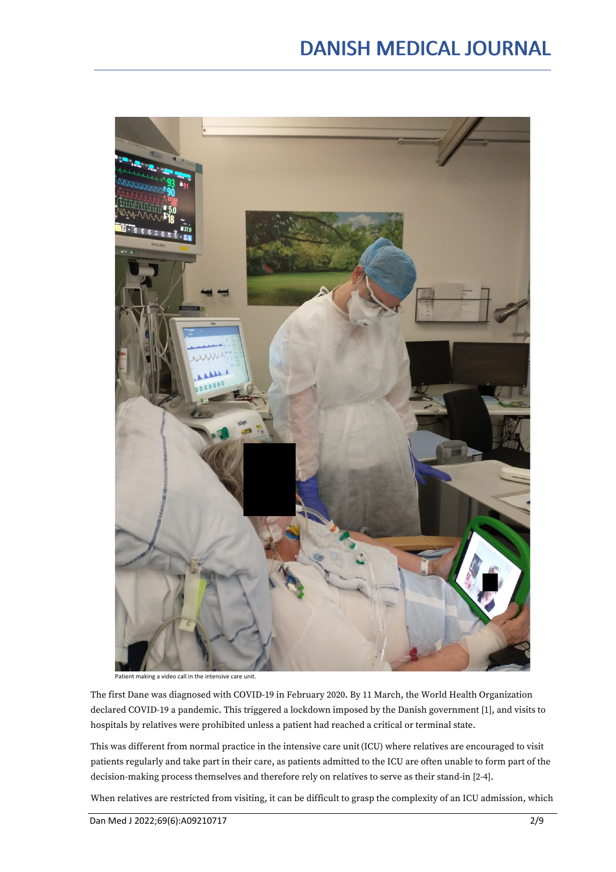

Patient making a video call in the intensive care unit.

The first Dane was diagnosed with COVID-19 in February 2020. By 11 March, the World Health Organization declared COVID-19 a pandemic. This triggered a lockdown imposed by the Danish government [1], and visits to hospitals by relatives were prohibited unless a patient had reached a critical or terminal state.

This was different from normal practice in the intensive care unit(ICU) where relatives are encouraged to visit patients regularly and take part in their care, as patients admitted to the ICU are often unable to form part of the decision-making process themselves and therefore rely on relatives to serve as their stand-in [2-4].

When relatives are restricted from visiting, it can be difficult to grasp the complexity of an ICU admission, which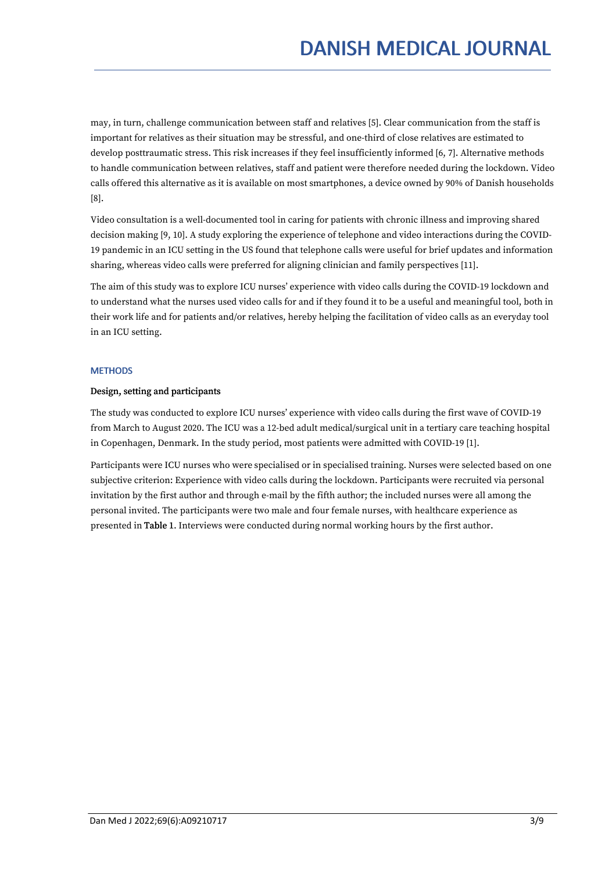may, in turn, challenge communication between staff and relatives [5]. Clear communication from the staff is important for relatives as their situation may be stressful, and one-third of close relatives are estimated to develop posttraumatic stress. This risk increases if they feel insufficiently informed [6, 7]. Alternative methods to handle communication between relatives, staff and patient were therefore needed during the lockdown. Video calls offered this alternative as it is available on most smartphones, a device owned by 90% of Danish households [8].

Video consultation is a well-documented tool in caring for patients with chronic illness and improving shared decision making [9, 10]. A study exploring the experience of telephone and video interactions during the COVID- 19 pandemic in an ICU setting in the US found that telephone calls were useful for brief updates and information sharing, whereas video calls were preferred for aligning clinician and family perspectives [11].

The aim of this study was to explore ICU nurses' experience with video calls during the COVID-19 lockdown and to understand what the nurses used video calls for and if they found it to be a useful and meaningful tool, both in their work life and for patients and/or relatives, hereby helping the facilitation of video calls as an everyday tool in an ICU setting.

#### **METHODS**

#### Design, setting and participants

The study was conducted to explore ICU nurses' experience with video calls during the first wave of COVID-19 from March to August 2020. The ICU was a 12-bed adult medical/surgical unit in a tertiary care teaching hospital in Copenhagen, Denmark. In the study period, most patients were admitted with COVID-19 [1].

Participants were ICU nurses who were specialised or in specialised training. Nurses were selected based on one subjective criterion: Experience with video calls during the lockdown. Participants were recruited via personal invitation by the first author and through e-mail by the fifth author; the included nurses were all among the personal invited. The participants were two male and four female nurses, with healthcare experience as presented in Table 1. Interviews were conducted during normal working hours by the first author.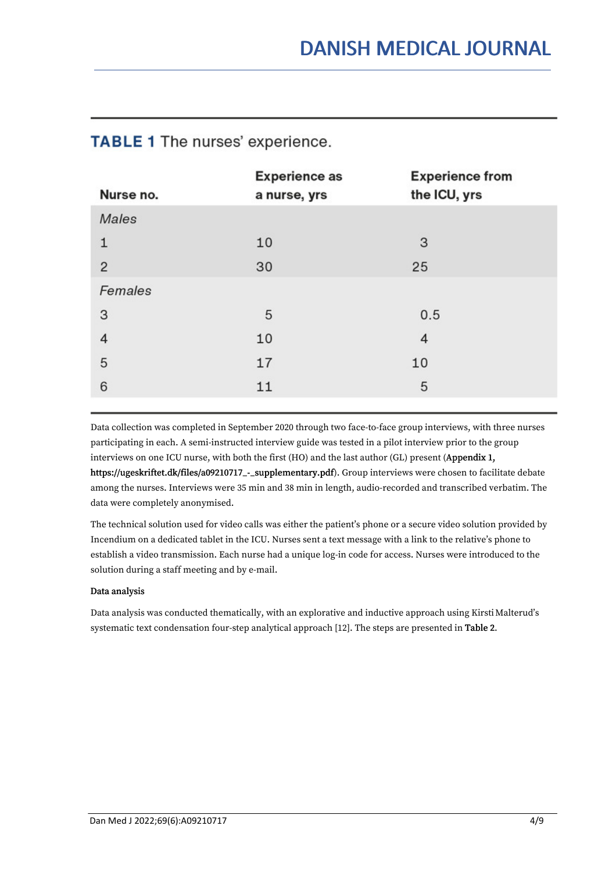| Nurse no.      | <b>Experience as</b><br>a nurse, yrs | <b>Experience from</b><br>the ICU, yrs |
|----------------|--------------------------------------|----------------------------------------|
| Males          |                                      |                                        |
| 1              | 10                                   | 3                                      |
| $\overline{2}$ | 30                                   | 25                                     |
| Females        |                                      |                                        |
| 3              | 5                                    | 0.5                                    |
| $\overline{4}$ | 10                                   | 4                                      |
| 5              | 17                                   | 10                                     |
| 6              | 11                                   | 5                                      |

### **TABLE 1** The nurses' experience.

Data collection was completed in September 2020 through two face-to-face group interviews, with three nurses participating in each. A semi-instructed interview guide was tested in a pilot interview prior to the group interviews on one ICU nurse, with both the first (HO) and the last author (GL) present (Appendix 1,<br>https://ugeskriftet.dk/files/a09210717\_-\_supplementary.pdf). Group interviews were chosen to facilitate debate among the nurses. Interviews were 35 min and 38 min in length, audio-recorded and transcribed verbatim. The data were completely anonymised.

The technical solution used for video calls was either the patient's phone or a secure video solution provided by Incendium on a dedicated tablet in the ICU. Nurses sent a text message with a link to the relative's phone to establish a video transmission. Each nurse had a unique log-in code for access. Nurses were introduced to the solution during a staff meeting and by e-mail.

#### Data analysis

Data analysis was conducted thematically, with an explorative and inductive approach using Kirsti Malterud's systematic text condensation four-step analytical approach [12]. The steps are presented in Table 2.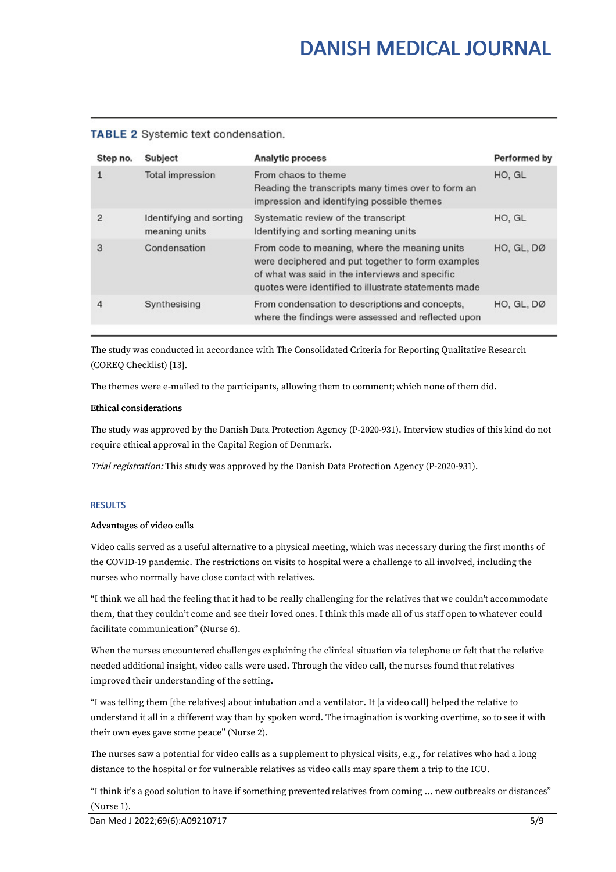#### **TABLE 2** Systemic text condensation.

| Step no.       | Subject                                  | <b>Analytic process</b>                                                                                                                                                                                       | <b>Performed by</b> |
|----------------|------------------------------------------|---------------------------------------------------------------------------------------------------------------------------------------------------------------------------------------------------------------|---------------------|
| $\mathbf{1}$   | Total impression                         | From chaos to theme<br>Reading the transcripts many times over to form an<br>impression and identifying possible themes                                                                                       | HO, GL              |
| $\overline{2}$ | Identifying and sorting<br>meaning units | Systematic review of the transcript<br>Identifying and sorting meaning units                                                                                                                                  | HO, GL              |
| 3              | Condensation                             | From code to meaning, where the meaning units<br>were deciphered and put together to form examples<br>of what was said in the interviews and specific<br>quotes were identified to illustrate statements made | <b>HO. GL. DØ</b>   |
| $\overline{4}$ | Synthesising                             | From condensation to descriptions and concepts,<br>where the findings were assessed and reflected upon                                                                                                        | HO, GL, DØ          |

The study was conducted in accordance with The Consolidated Criteria for Reporting Qualitative Research (COREQ Checklist) [13].

The themes were e-mailed to the participants, allowing them to comment; which none of them did.

#### Ethical considerations

The study was approved by the Danish Data Protection Agency (P-2020-931). Interview studies of this kind do not require ethical approval in the Capital Region of Denmark.

Trial registration: This study was approved by the Danish Data Protection Agency (P-2020-931).

#### RESULTS

#### Advantages of video calls

Video calls served as a useful alternative to a physical meeting, which was necessary during the first months of the COVID-19 pandemic. The restrictions on visits to hospital were a challenge to all involved, including the nurses who normally have close contact with relatives.

"I think we all had the feeling that it had to be really challenging for the relatives that we couldn't accommodate them, that they couldn't come and see their loved ones. I think this made all of us staff open to whatever could facilitate communication" (Nurse 6).

When the nurses encountered challenges explaining the clinical situation via telephone or felt that the relative needed additional insight, video calls were used. Through the video call, the nurses found that relatives improved their understanding of the setting.

"I was telling them [the relatives] about intubation and a ventilator. It [a video call] helped the relative to understand it all in a different way than by spoken word. The imagination is working overtime, so to see it with their own eyes gave some peace" (Nurse 2).

The nurses saw a potential for video calls as a supplement to physical visits, e.g., for relatives who had a long distance to the hospital or for vulnerable relatives as video calls may spare them a trip to the ICU.

"I think it's a good solution to have if something prevented relatives from coming ... new outbreaks or distances" (Nurse 1).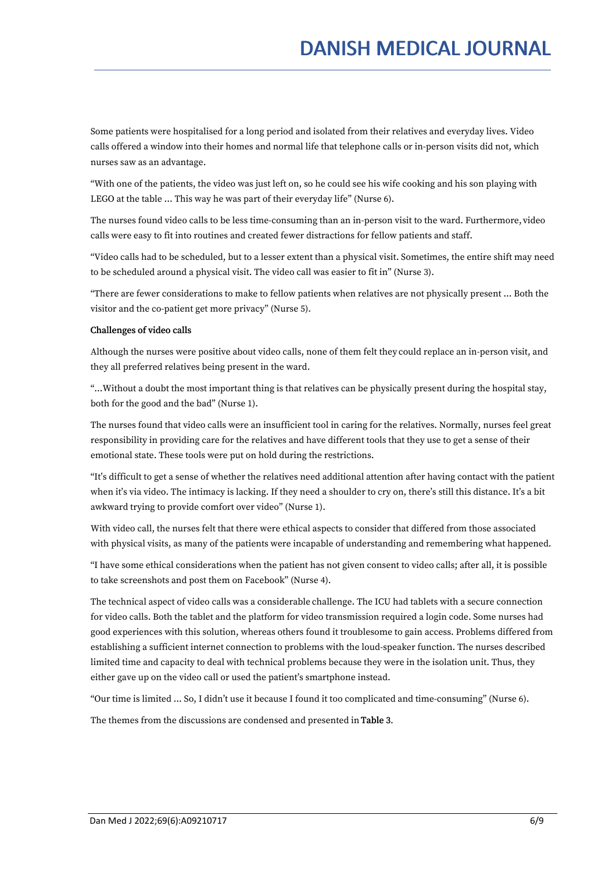Some patients were hospitalised for a long period and isolated from their relatives and everyday lives. Video calls offered a window into their homes and normal life that telephone calls or in-person visits did not, which nurses saw as an advantage.

"With one of the patients, the video was just left on, so he could see his wife cooking and his son playing with LEGO at the table … This way he was part of their everyday life" (Nurse 6).

The nurses found video calls to be less time-consuming than an in-person visit to the ward. Furthermore, video calls were easy to fit into routines and created fewer distractions for fellow patients and staff.

"Video calls had to be scheduled, but to a lesser extent than a physical visit. Sometimes, the entire shift may need to be scheduled around a physical visit. The video call was easier to fit in" (Nurse 3).

"There are fewer considerations to make to fellow patients when relatives are not physically present … Both the visitor and the co-patient get more privacy" (Nurse 5).

#### Challenges of video calls

Although the nurses were positive about video calls, none of them felt they could replace an in-person visit, and they all preferred relatives being present in the ward.

"…Without a doubt the most important thing is that relatives can be physically present during the hospital stay, both for the good and the bad" (Nurse 1).

The nurses found that video calls were an insufficient tool in caring for the relatives. Normally, nurses feel great responsibility in providing care for the relatives and have different tools that they use to get a sense of their emotional state. These tools were put on hold during the restrictions.

"It's difficult to get a sense of whether the relatives need additional attention after having contact with the patient when it's via video. The intimacy is lacking. If they need a shoulder to cry on, there's still this distance. It's a bit awkward trying to provide comfort over video" (Nurse 1).

With video call, the nurses felt that there were ethical aspects to consider that differed from those associated with physical visits, as many of the patients were incapable of understanding and remembering what happened.

"I have some ethical considerations when the patient has not given consent to video calls; after all, it is possible to take screenshots and post them on Facebook" (Nurse 4).

The technical aspect of video calls was a considerable challenge. The ICU had tablets with a secure connection for video calls. Both the tablet and the platform for video transmission required a login code. Some nurses had good experiences with this solution, whereas others found it troublesome to gain access. Problems differed from establishing a sufficient internet connection to problems with the loud-speaker function. The nurses described limited time and capacity to deal with technical problems because they were in the isolation unit. Thus, they either gave up on the video call or used the patient's smartphone instead.

"Our time is limited ... So, I didn't use itbecause I found it too complicated and time-consuming" (Nurse 6).

The themes from the discussions are condensed and presented in Table 3.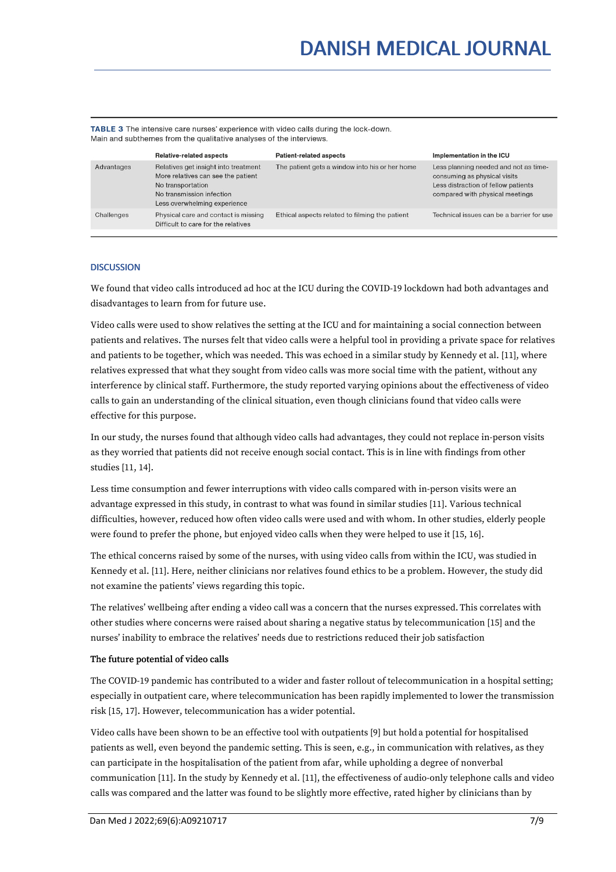TABLE 3 The intensive care nurses' experience with video calls during the lock-down. Main and subthemes from the qualitative analyses of the interviews.

|            | <b>Relative-related aspects</b>                                                                                                                              | <b>Patient-related aspects</b>                 | Implementation in the ICU                                                                                                                       |
|------------|--------------------------------------------------------------------------------------------------------------------------------------------------------------|------------------------------------------------|-------------------------------------------------------------------------------------------------------------------------------------------------|
| Advantages | Relatives get insight into treatment<br>More relatives can see the patient<br>No transportation<br>No transmission infection<br>Less overwhelming experience | The patient gets a window into his or her home | Less planning needed and not as time-<br>consuming as physical visits<br>Less distraction of fellow patients<br>compared with physical meetings |
| Challenges | Physical care and contact is missing<br>Difficult to care for the relatives                                                                                  | Ethical aspects related to filming the patient | Technical issues can be a barrier for use                                                                                                       |

#### **DISCUSSION**

We found that video calls introduced ad hoc at the ICU during the COVID-19 lockdown had both advantages and disadvantages to learn from for future use.

Video calls were used to show relatives the setting at the ICU and for maintaining a social connection between patients and relatives. The nurses felt that video calls were a helpful tool in providing a private space for relatives and patients to be together, which was needed. This was echoed in a similar study by Kennedy et al. [11], where relatives expressed that what they sought from video calls was more social time with the patient, without any interference by clinical staff. Furthermore, the study reported varying opinions about the effectiveness of video calls to gain an understanding of the clinical situation, even though clinicians found that video calls were effective for this purpose.

In our study, the nurses found that although video calls had advantages, they could not replace in-person visits as they worried that patients did not receive enough social contact. This is in line with findings from other studies [11, 14].

Less time consumption and fewer interruptions with video calls compared with in-person visits were an advantage expressed in this study, in contrast to what was found in similar studies [11]. Various technical difficulties, however, reduced how often video calls were used and with whom. In other studies, elderly people were found to prefer the phone, but enjoyed video calls when they were helped to use it [15, 16].

The ethical concerns raised by some of the nurses, with using video calls from within the ICU, was studied in Kennedy et al. [11]. Here, neither clinicians nor relatives found ethics to be a problem. However, the study did not examine the patients' views regarding this topic.

The relatives' wellbeing after ending a video call was a concern that the nurses expressed. This correlates with other studies where concerns were raised about sharing a negative status by telecommunication [15] and the nurses' inability to embrace the relatives' needs due to restrictions reduced their job satisfaction

#### The future potential of video calls

The COVID-19 pandemic has contributed to a wider and faster rollout of telecommunication in a hospital setting; especially in outpatient care, where telecommunication has been rapidly implemented to lower the transmission risk [15, 17]. However, telecommunication has a wider potential.

Video calls have been shown to be an effective tool with outpatients [9] but hold a potential for hospitalised patients as well, even beyond the pandemic setting. This is seen, e.g., in communication with relatives, as they can participate in the hospitalisation of the patient from afar, while upholding a degree of nonverbal communication [11]. In the study by Kennedy et al. [11], the effectiveness of audio-only telephone calls and video calls was compared and the latter was found to be slightly more effective, rated higher by clinicians than by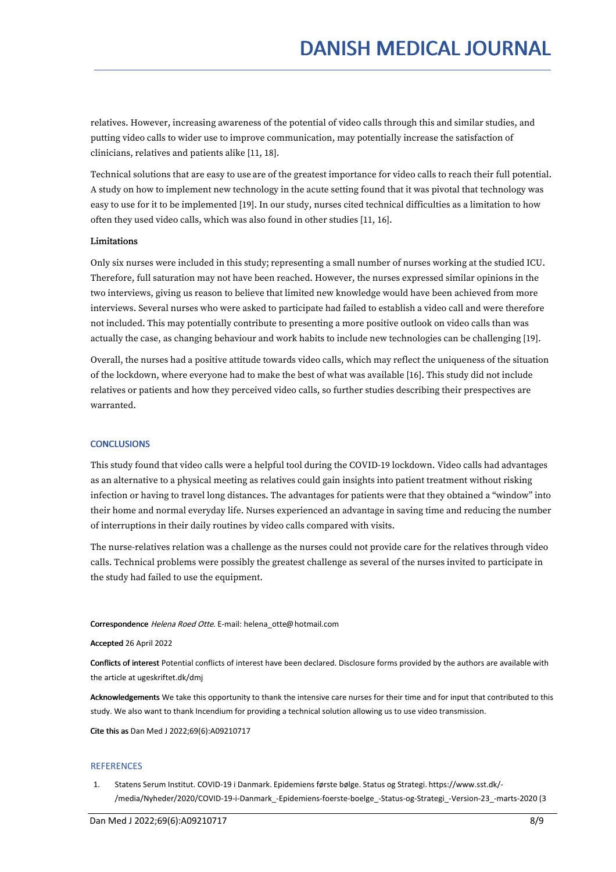relatives. However, increasing awareness of the potential of video calls through this and similar studies, and putting video calls to wider use to improve communication, may potentially increase the satisfaction of clinicians, relatives and patients alike [11, 18].

Technical solutions that are easy to use are of the greatest importance for video calls to reach their full potential. A study on how to implement new technology in the acute setting found that it was pivotal that technology was easy to use for it to be implemented [19]. In our study, nurses cited technical difficulties as a limitation to how often they used video calls, which was also found in other studies [11, 16].

#### Limitations

Only six nurses were included in this study; representing a small number of nurses working at the studied ICU. Therefore, full saturation may not have been reached. However, the nurses expressed similar opinions in the two interviews, giving us reason to believe that limited new knowledge would have been achieved from more interviews. Several nurses who were asked to participate had failed to establish a video call and were therefore not included. This may potentially contribute to presenting a more positive outlook on video calls than was actually the case, as changing behaviour and work habits to include new technologies can be challenging [19].

Overall, the nurses had a positive attitude towards video calls, which may reflect the uniqueness of the situation of the lockdown, where everyone had to make the best of what was available [16]. This study did not include relatives or patients and how they perceived video calls, so further studies describing their prespectives are warranted.

#### **CONCLUSIONS**

This study found that video calls were a helpful tool during the COVID-19 lockdown. Video calls had advantages as an alternative to a physical meeting as relatives could gain insights into patient treatment without risking infection or having to travel long distances. The advantages for patients were that they obtained a "window" into their home and normal everyday life. Nurses experienced an advantage in saving time and reducing the number of interruptions in their daily routines by video calls compared with visits.

The nurse-relatives relation was a challenge as the nurses could not provide care for the relatives through video calls. Technical problems were possibly the greatest challenge as several of the nurses invited to participate in the study had failed to use the equipment.

Correspondence Helena Roed Otte. E-mail: helena\_otte@hotmail.com

Accepted 26 April 2022

Conflicts of interest Potential conflicts of interest have been declared. Disclosure forms provided by the authors are available with the article at ugeskriftet.dk/dmj

Acknowledgements We take this opportunity to thank the intensive care nurses for their time and for input that contributed to this study. We also want to thank Incendium for providing a technical solution allowing us to use video transmission.

Cite this as Dan Med J 2022;69(6):A09210717

#### **REFERENCES**

1. Statens Serum Institut. COVID-19 i Danmark. Epidemiens første bølge. Status og Strategi. https://www.sst.dk/- /media/Nyheder/2020/COVID-19-i-Danmark\_-Epidemiens-foerste-boelge\_-Status-og-Strategi\_-Version-23\_-marts-2020 (3